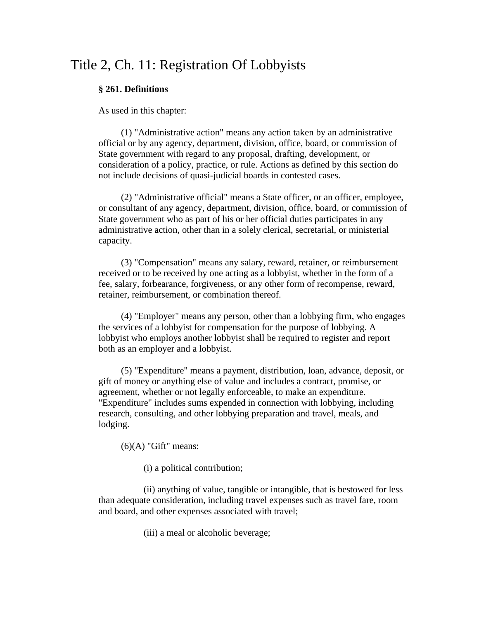# Title 2, Ch. 11: Registration Of Lobbyists

# **§ 261. Definitions**

As used in this chapter:

(1) "Administrative action" means any action taken by an administrative official or by any agency, department, division, office, board, or commission of State government with regard to any proposal, drafting, development, or consideration of a policy, practice, or rule. Actions as defined by this section do not include decisions of quasi-judicial boards in contested cases.

(2) "Administrative official" means a State officer, or an officer, employee, or consultant of any agency, department, division, office, board, or commission of State government who as part of his or her official duties participates in any administrative action, other than in a solely clerical, secretarial, or ministerial capacity.

(3) "Compensation" means any salary, reward, retainer, or reimbursement received or to be received by one acting as a lobbyist, whether in the form of a fee, salary, forbearance, forgiveness, or any other form of recompense, reward, retainer, reimbursement, or combination thereof.

(4) "Employer" means any person, other than a lobbying firm, who engages the services of a lobbyist for compensation for the purpose of lobbying. A lobbyist who employs another lobbyist shall be required to register and report both as an employer and a lobbyist.

(5) "Expenditure" means a payment, distribution, loan, advance, deposit, or gift of money or anything else of value and includes a contract, promise, or agreement, whether or not legally enforceable, to make an expenditure. "Expenditure" includes sums expended in connection with lobbying, including research, consulting, and other lobbying preparation and travel, meals, and lodging.

 $(6)(A)$  "Gift" means:

(i) a political contribution;

(ii) anything of value, tangible or intangible, that is bestowed for less than adequate consideration, including travel expenses such as travel fare, room and board, and other expenses associated with travel;

(iii) a meal or alcoholic beverage;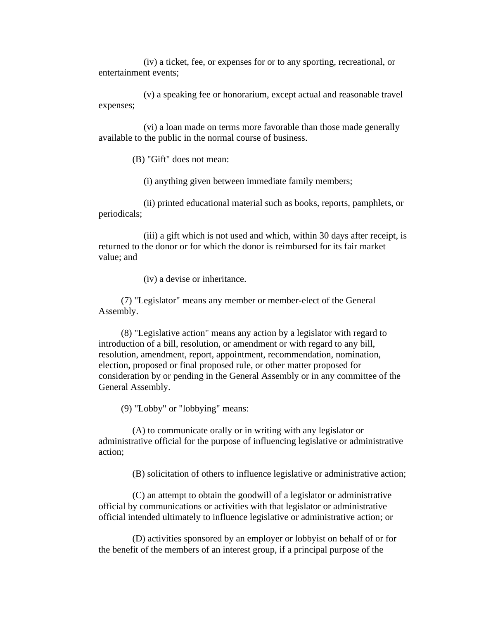(iv) a ticket, fee, or expenses for or to any sporting, recreational, or entertainment events;

(v) a speaking fee or honorarium, except actual and reasonable travel expenses;

(vi) a loan made on terms more favorable than those made generally available to the public in the normal course of business.

(B) "Gift" does not mean:

(i) anything given between immediate family members;

(ii) printed educational material such as books, reports, pamphlets, or periodicals;

(iii) a gift which is not used and which, within 30 days after receipt, is returned to the donor or for which the donor is reimbursed for its fair market value; and

(iv) a devise or inheritance.

(7) "Legislator" means any member or member-elect of the General Assembly.

(8) "Legislative action" means any action by a legislator with regard to introduction of a bill, resolution, or amendment or with regard to any bill, resolution, amendment, report, appointment, recommendation, nomination, election, proposed or final proposed rule, or other matter proposed for consideration by or pending in the General Assembly or in any committee of the General Assembly.

(9) "Lobby" or "lobbying" means:

(A) to communicate orally or in writing with any legislator or administrative official for the purpose of influencing legislative or administrative action;

(B) solicitation of others to influence legislative or administrative action;

(C) an attempt to obtain the goodwill of a legislator or administrative official by communications or activities with that legislator or administrative official intended ultimately to influence legislative or administrative action; or

(D) activities sponsored by an employer or lobbyist on behalf of or for the benefit of the members of an interest group, if a principal purpose of the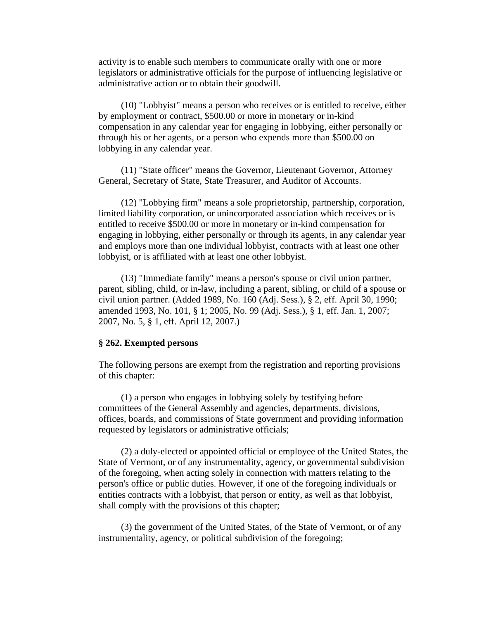activity is to enable such members to communicate orally with one or more legislators or administrative officials for the purpose of influencing legislative or administrative action or to obtain their goodwill.

(10) "Lobbyist" means a person who receives or is entitled to receive, either by employment or contract, \$500.00 or more in monetary or in-kind compensation in any calendar year for engaging in lobbying, either personally or through his or her agents, or a person who expends more than \$500.00 on lobbying in any calendar year.

(11) "State officer" means the Governor, Lieutenant Governor, Attorney General, Secretary of State, State Treasurer, and Auditor of Accounts.

(12) "Lobbying firm" means a sole proprietorship, partnership, corporation, limited liability corporation, or unincorporated association which receives or is entitled to receive \$500.00 or more in monetary or in-kind compensation for engaging in lobbying, either personally or through its agents, in any calendar year and employs more than one individual lobbyist, contracts with at least one other lobbyist, or is affiliated with at least one other lobbyist.

(13) "Immediate family" means a person's spouse or civil union partner, parent, sibling, child, or in-law, including a parent, sibling, or child of a spouse or civil union partner. (Added 1989, No. 160 (Adj. Sess.), § 2, eff. April 30, 1990; amended 1993, No. 101, § 1; 2005, No. 99 (Adj. Sess.), § 1, eff. Jan. 1, 2007; 2007, No. 5, § 1, eff. April 12, 2007.)

# **§ 262. Exempted persons**

The following persons are exempt from the registration and reporting provisions of this chapter:

(1) a person who engages in lobbying solely by testifying before committees of the General Assembly and agencies, departments, divisions, offices, boards, and commissions of State government and providing information requested by legislators or administrative officials;

(2) a duly-elected or appointed official or employee of the United States, the State of Vermont, or of any instrumentality, agency, or governmental subdivision of the foregoing, when acting solely in connection with matters relating to the person's office or public duties. However, if one of the foregoing individuals or entities contracts with a lobbyist, that person or entity, as well as that lobbyist, shall comply with the provisions of this chapter;

(3) the government of the United States, of the State of Vermont, or of any instrumentality, agency, or political subdivision of the foregoing;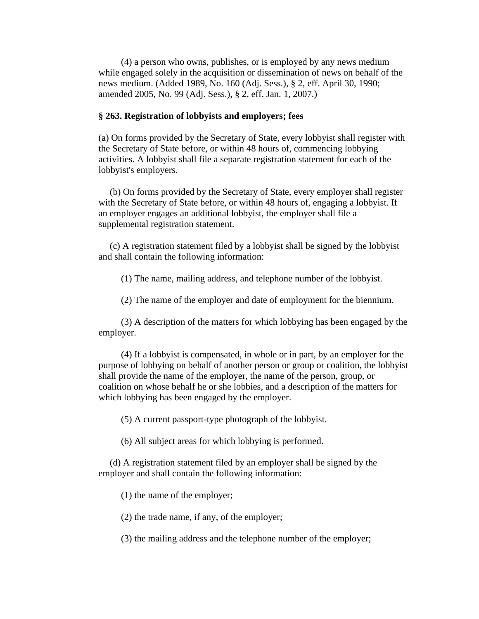(4) a person who owns, publishes, or is employed by any news medium while engaged solely in the acquisition or dissemination of news on behalf of the news medium. (Added 1989, No. 160 (Adj. Sess.), § 2, eff. April 30, 1990; amended 2005, No. 99 (Adj. Sess.), § 2, eff. Jan. 1, 2007.)

# **§ 263. Registration of lobbyists and employers; fees**

(a) On forms provided by the Secretary of State, every lobbyist shall register with the Secretary of State before, or within 48 hours of, commencing lobbying activities. A lobbyist shall file a separate registration statement for each of the lobbyist's employers.

(b) On forms provided by the Secretary of State, every employer shall register with the Secretary of State before, or within 48 hours of, engaging a lobbyist. If an employer engages an additional lobbyist, the employer shall file a supplemental registration statement.

(c) A registration statement filed by a lobbyist shall be signed by the lobbyist and shall contain the following information:

(1) The name, mailing address, and telephone number of the lobbyist.

(2) The name of the employer and date of employment for the biennium.

(3) A description of the matters for which lobbying has been engaged by the employer.

(4) If a lobbyist is compensated, in whole or in part, by an employer for the purpose of lobbying on behalf of another person or group or coalition, the lobbyist shall provide the name of the employer, the name of the person, group, or coalition on whose behalf he or she lobbies, and a description of the matters for which lobbying has been engaged by the employer.

(5) A current passport-type photograph of the lobbyist.

(6) All subject areas for which lobbying is performed.

(d) A registration statement filed by an employer shall be signed by the employer and shall contain the following information:

(1) the name of the employer;

(2) the trade name, if any, of the employer;

(3) the mailing address and the telephone number of the employer;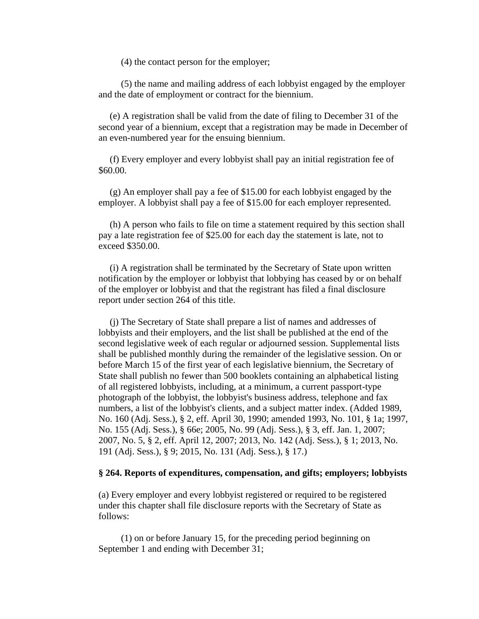(4) the contact person for the employer;

(5) the name and mailing address of each lobbyist engaged by the employer and the date of employment or contract for the biennium.

(e) A registration shall be valid from the date of filing to December 31 of the second year of a biennium, except that a registration may be made in December of an even-numbered year for the ensuing biennium.

(f) Every employer and every lobbyist shall pay an initial registration fee of \$60.00.

(g) An employer shall pay a fee of \$15.00 for each lobbyist engaged by the employer. A lobbyist shall pay a fee of \$15.00 for each employer represented.

(h) A person who fails to file on time a statement required by this section shall pay a late registration fee of \$25.00 for each day the statement is late, not to exceed \$350.00.

(i) A registration shall be terminated by the Secretary of State upon written notification by the employer or lobbyist that lobbying has ceased by or on behalf of the employer or lobbyist and that the registrant has filed a final disclosure report under section 264 of this title.

(j) The Secretary of State shall prepare a list of names and addresses of lobbyists and their employers, and the list shall be published at the end of the second legislative week of each regular or adjourned session. Supplemental lists shall be published monthly during the remainder of the legislative session. On or before March 15 of the first year of each legislative biennium, the Secretary of State shall publish no fewer than 500 booklets containing an alphabetical listing of all registered lobbyists, including, at a minimum, a current passport-type photograph of the lobbyist, the lobbyist's business address, telephone and fax numbers, a list of the lobbyist's clients, and a subject matter index. (Added 1989, No. 160 (Adj. Sess.), § 2, eff. April 30, 1990; amended 1993, No. 101, § 1a; 1997, No. 155 (Adj. Sess.), § 66e; 2005, No. 99 (Adj. Sess.), § 3, eff. Jan. 1, 2007; 2007, No. 5, § 2, eff. April 12, 2007; 2013, No. 142 (Adj. Sess.), § 1; 2013, No. 191 (Adj. Sess.), § 9; 2015, No. 131 (Adj. Sess.), § 17.)

### **§ 264. Reports of expenditures, compensation, and gifts; employers; lobbyists**

(a) Every employer and every lobbyist registered or required to be registered under this chapter shall file disclosure reports with the Secretary of State as follows:

(1) on or before January 15, for the preceding period beginning on September 1 and ending with December 31;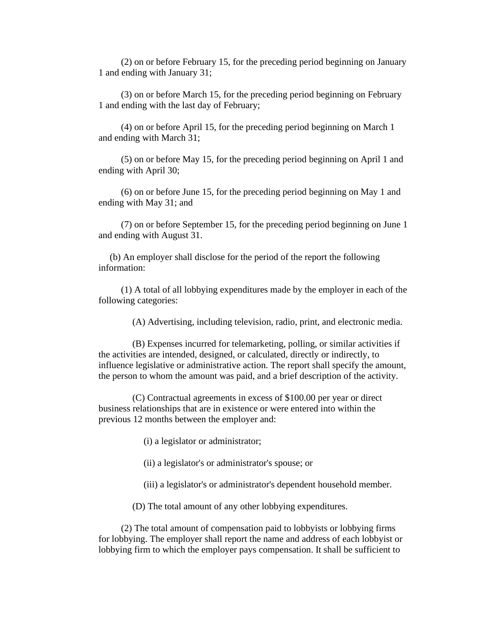(2) on or before February 15, for the preceding period beginning on January 1 and ending with January 31;

(3) on or before March 15, for the preceding period beginning on February 1 and ending with the last day of February;

(4) on or before April 15, for the preceding period beginning on March 1 and ending with March 31;

(5) on or before May 15, for the preceding period beginning on April 1 and ending with April 30;

(6) on or before June 15, for the preceding period beginning on May 1 and ending with May 31; and

(7) on or before September 15, for the preceding period beginning on June 1 and ending with August 31.

(b) An employer shall disclose for the period of the report the following information:

(1) A total of all lobbying expenditures made by the employer in each of the following categories:

(A) Advertising, including television, radio, print, and electronic media.

(B) Expenses incurred for telemarketing, polling, or similar activities if the activities are intended, designed, or calculated, directly or indirectly, to influence legislative or administrative action. The report shall specify the amount, the person to whom the amount was paid, and a brief description of the activity.

(C) Contractual agreements in excess of \$100.00 per year or direct business relationships that are in existence or were entered into within the previous 12 months between the employer and:

(i) a legislator or administrator;

(ii) a legislator's or administrator's spouse; or

(iii) a legislator's or administrator's dependent household member.

(D) The total amount of any other lobbying expenditures.

(2) The total amount of compensation paid to lobbyists or lobbying firms for lobbying. The employer shall report the name and address of each lobbyist or lobbying firm to which the employer pays compensation. It shall be sufficient to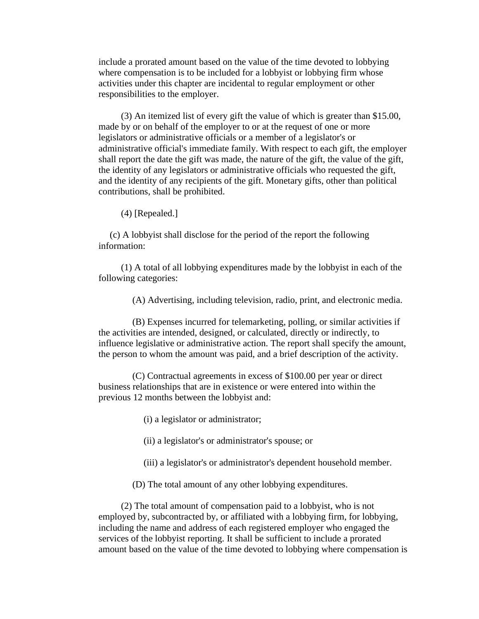include a prorated amount based on the value of the time devoted to lobbying where compensation is to be included for a lobbyist or lobbying firm whose activities under this chapter are incidental to regular employment or other responsibilities to the employer.

(3) An itemized list of every gift the value of which is greater than \$15.00, made by or on behalf of the employer to or at the request of one or more legislators or administrative officials or a member of a legislator's or administrative official's immediate family. With respect to each gift, the employer shall report the date the gift was made, the nature of the gift, the value of the gift, the identity of any legislators or administrative officials who requested the gift, and the identity of any recipients of the gift. Monetary gifts, other than political contributions, shall be prohibited.

(4) [Repealed.]

(c) A lobbyist shall disclose for the period of the report the following information:

(1) A total of all lobbying expenditures made by the lobbyist in each of the following categories:

(A) Advertising, including television, radio, print, and electronic media.

(B) Expenses incurred for telemarketing, polling, or similar activities if the activities are intended, designed, or calculated, directly or indirectly, to influence legislative or administrative action. The report shall specify the amount, the person to whom the amount was paid, and a brief description of the activity.

(C) Contractual agreements in excess of \$100.00 per year or direct business relationships that are in existence or were entered into within the previous 12 months between the lobbyist and:

(i) a legislator or administrator;

(ii) a legislator's or administrator's spouse; or

- (iii) a legislator's or administrator's dependent household member.
- (D) The total amount of any other lobbying expenditures.

(2) The total amount of compensation paid to a lobbyist, who is not employed by, subcontracted by, or affiliated with a lobbying firm, for lobbying, including the name and address of each registered employer who engaged the services of the lobbyist reporting. It shall be sufficient to include a prorated amount based on the value of the time devoted to lobbying where compensation is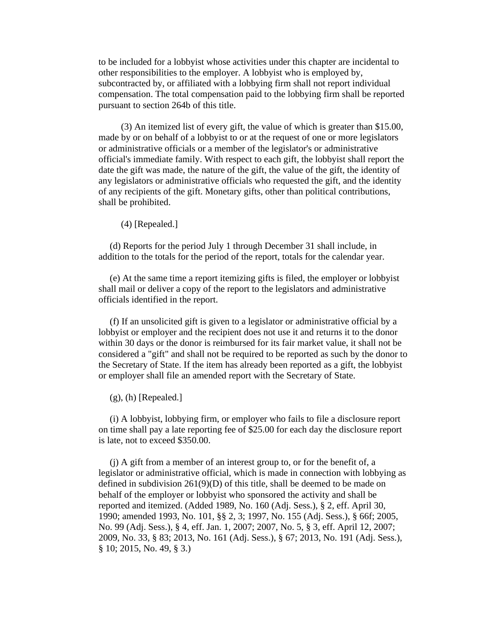to be included for a lobbyist whose activities under this chapter are incidental to other responsibilities to the employer. A lobbyist who is employed by, subcontracted by, or affiliated with a lobbying firm shall not report individual compensation. The total compensation paid to the lobbying firm shall be reported pursuant to section 264b of this title.

(3) An itemized list of every gift, the value of which is greater than \$15.00, made by or on behalf of a lobbyist to or at the request of one or more legislators or administrative officials or a member of the legislator's or administrative official's immediate family. With respect to each gift, the lobbyist shall report the date the gift was made, the nature of the gift, the value of the gift, the identity of any legislators or administrative officials who requested the gift, and the identity of any recipients of the gift. Monetary gifts, other than political contributions, shall be prohibited.

(4) [Repealed.]

(d) Reports for the period July 1 through December 31 shall include, in addition to the totals for the period of the report, totals for the calendar year.

(e) At the same time a report itemizing gifts is filed, the employer or lobbyist shall mail or deliver a copy of the report to the legislators and administrative officials identified in the report.

(f) If an unsolicited gift is given to a legislator or administrative official by a lobbyist or employer and the recipient does not use it and returns it to the donor within 30 days or the donor is reimbursed for its fair market value, it shall not be considered a "gift" and shall not be required to be reported as such by the donor to the Secretary of State. If the item has already been reported as a gift, the lobbyist or employer shall file an amended report with the Secretary of State.

 $(g)$ , (h) [Repealed.]

(i) A lobbyist, lobbying firm, or employer who fails to file a disclosure report on time shall pay a late reporting fee of \$25.00 for each day the disclosure report is late, not to exceed \$350.00.

(j) A gift from a member of an interest group to, or for the benefit of, a legislator or administrative official, which is made in connection with lobbying as defined in subdivision 261(9)(D) of this title, shall be deemed to be made on behalf of the employer or lobbyist who sponsored the activity and shall be reported and itemized. (Added 1989, No. 160 (Adj. Sess.), § 2, eff. April 30, 1990; amended 1993, No. 101, §§ 2, 3; 1997, No. 155 (Adj. Sess.), § 66f; 2005, No. 99 (Adj. Sess.), § 4, eff. Jan. 1, 2007; 2007, No. 5, § 3, eff. April 12, 2007; 2009, No. 33, § 83; 2013, No. 161 (Adj. Sess.), § 67; 2013, No. 191 (Adj. Sess.), § 10; 2015, No. 49, § 3.)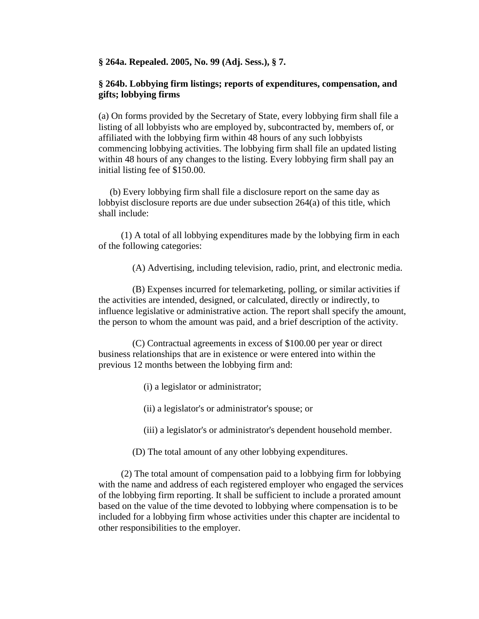**§ 264a. Repealed. 2005, No. 99 (Adj. Sess.), § 7.**

# **§ 264b. Lobbying firm listings; reports of expenditures, compensation, and gifts; lobbying firms**

(a) On forms provided by the Secretary of State, every lobbying firm shall file a listing of all lobbyists who are employed by, subcontracted by, members of, or affiliated with the lobbying firm within 48 hours of any such lobbyists commencing lobbying activities. The lobbying firm shall file an updated listing within 48 hours of any changes to the listing. Every lobbying firm shall pay an initial listing fee of \$150.00.

(b) Every lobbying firm shall file a disclosure report on the same day as lobbyist disclosure reports are due under subsection 264(a) of this title, which shall include:

(1) A total of all lobbying expenditures made by the lobbying firm in each of the following categories:

(A) Advertising, including television, radio, print, and electronic media.

(B) Expenses incurred for telemarketing, polling, or similar activities if the activities are intended, designed, or calculated, directly or indirectly, to influence legislative or administrative action. The report shall specify the amount, the person to whom the amount was paid, and a brief description of the activity.

(C) Contractual agreements in excess of \$100.00 per year or direct business relationships that are in existence or were entered into within the previous 12 months between the lobbying firm and:

(i) a legislator or administrator;

(ii) a legislator's or administrator's spouse; or

(iii) a legislator's or administrator's dependent household member.

(D) The total amount of any other lobbying expenditures.

(2) The total amount of compensation paid to a lobbying firm for lobbying with the name and address of each registered employer who engaged the services of the lobbying firm reporting. It shall be sufficient to include a prorated amount based on the value of the time devoted to lobbying where compensation is to be included for a lobbying firm whose activities under this chapter are incidental to other responsibilities to the employer.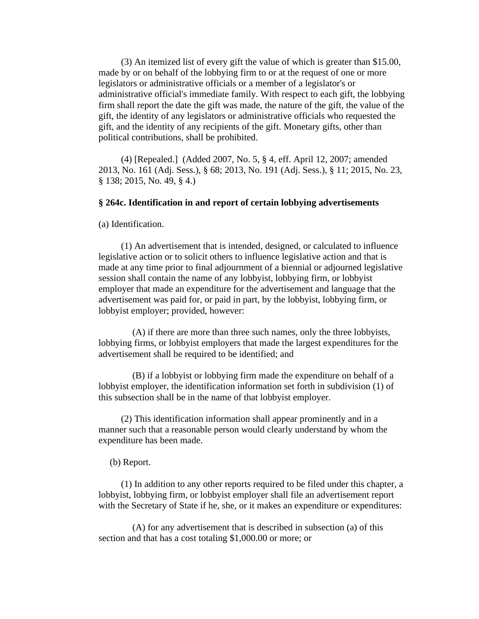(3) An itemized list of every gift the value of which is greater than \$15.00, made by or on behalf of the lobbying firm to or at the request of one or more legislators or administrative officials or a member of a legislator's or administrative official's immediate family. With respect to each gift, the lobbying firm shall report the date the gift was made, the nature of the gift, the value of the gift, the identity of any legislators or administrative officials who requested the gift, and the identity of any recipients of the gift. Monetary gifts, other than political contributions, shall be prohibited.

(4) [Repealed.] (Added 2007, No. 5, § 4, eff. April 12, 2007; amended 2013, No. 161 (Adj. Sess.), § 68; 2013, No. 191 (Adj. Sess.), § 11; 2015, No. 23, § 138; 2015, No. 49, § 4.)

# **§ 264c. Identification in and report of certain lobbying advertisements**

(a) Identification.

(1) An advertisement that is intended, designed, or calculated to influence legislative action or to solicit others to influence legislative action and that is made at any time prior to final adjournment of a biennial or adjourned legislative session shall contain the name of any lobbyist, lobbying firm, or lobbyist employer that made an expenditure for the advertisement and language that the advertisement was paid for, or paid in part, by the lobbyist, lobbying firm, or lobbyist employer; provided, however:

(A) if there are more than three such names, only the three lobbyists, lobbying firms, or lobbyist employers that made the largest expenditures for the advertisement shall be required to be identified; and

(B) if a lobbyist or lobbying firm made the expenditure on behalf of a lobbyist employer, the identification information set forth in subdivision (1) of this subsection shall be in the name of that lobbyist employer.

(2) This identification information shall appear prominently and in a manner such that a reasonable person would clearly understand by whom the expenditure has been made.

### (b) Report.

(1) In addition to any other reports required to be filed under this chapter, a lobbyist, lobbying firm, or lobbyist employer shall file an advertisement report with the Secretary of State if he, she, or it makes an expenditure or expenditures:

(A) for any advertisement that is described in subsection (a) of this section and that has a cost totaling \$1,000.00 or more; or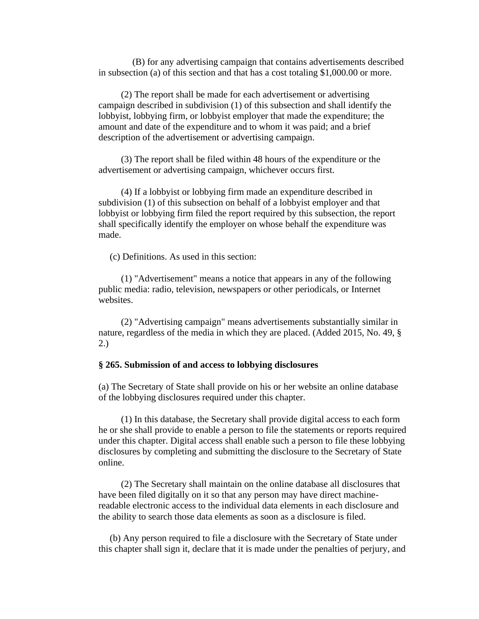(B) for any advertising campaign that contains advertisements described in subsection (a) of this section and that has a cost totaling \$1,000.00 or more.

(2) The report shall be made for each advertisement or advertising campaign described in subdivision (1) of this subsection and shall identify the lobbyist, lobbying firm, or lobbyist employer that made the expenditure; the amount and date of the expenditure and to whom it was paid; and a brief description of the advertisement or advertising campaign.

(3) The report shall be filed within 48 hours of the expenditure or the advertisement or advertising campaign, whichever occurs first.

(4) If a lobbyist or lobbying firm made an expenditure described in subdivision (1) of this subsection on behalf of a lobbyist employer and that lobbyist or lobbying firm filed the report required by this subsection, the report shall specifically identify the employer on whose behalf the expenditure was made.

(c) Definitions. As used in this section:

(1) "Advertisement" means a notice that appears in any of the following public media: radio, television, newspapers or other periodicals, or Internet websites.

(2) "Advertising campaign" means advertisements substantially similar in nature, regardless of the media in which they are placed. (Added 2015, No. 49, § 2.)

# **§ 265. Submission of and access to lobbying disclosures**

(a) The Secretary of State shall provide on his or her website an online database of the lobbying disclosures required under this chapter.

(1) In this database, the Secretary shall provide digital access to each form he or she shall provide to enable a person to file the statements or reports required under this chapter. Digital access shall enable such a person to file these lobbying disclosures by completing and submitting the disclosure to the Secretary of State online.

(2) The Secretary shall maintain on the online database all disclosures that have been filed digitally on it so that any person may have direct machinereadable electronic access to the individual data elements in each disclosure and the ability to search those data elements as soon as a disclosure is filed.

(b) Any person required to file a disclosure with the Secretary of State under this chapter shall sign it, declare that it is made under the penalties of perjury, and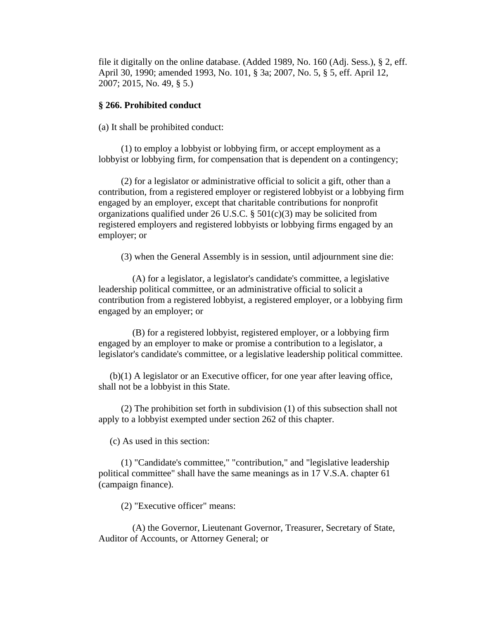file it digitally on the online database. (Added 1989, No. 160 (Adj. Sess.), § 2, eff. April 30, 1990; amended 1993, No. 101, § 3a; 2007, No. 5, § 5, eff. April 12, 2007; 2015, No. 49, § 5.)

#### **§ 266. Prohibited conduct**

(a) It shall be prohibited conduct:

(1) to employ a lobbyist or lobbying firm, or accept employment as a lobbyist or lobbying firm, for compensation that is dependent on a contingency;

(2) for a legislator or administrative official to solicit a gift, other than a contribution, from a registered employer or registered lobbyist or a lobbying firm engaged by an employer, except that charitable contributions for nonprofit organizations qualified under 26 U.S.C.  $\S$  501(c)(3) may be solicited from registered employers and registered lobbyists or lobbying firms engaged by an employer; or

(3) when the General Assembly is in session, until adjournment sine die:

(A) for a legislator, a legislator's candidate's committee, a legislative leadership political committee, or an administrative official to solicit a contribution from a registered lobbyist, a registered employer, or a lobbying firm engaged by an employer; or

(B) for a registered lobbyist, registered employer, or a lobbying firm engaged by an employer to make or promise a contribution to a legislator, a legislator's candidate's committee, or a legislative leadership political committee.

(b)(1) A legislator or an Executive officer, for one year after leaving office, shall not be a lobbyist in this State.

(2) The prohibition set forth in subdivision (1) of this subsection shall not apply to a lobbyist exempted under section 262 of this chapter.

(c) As used in this section:

(1) "Candidate's committee," "contribution," and "legislative leadership political committee" shall have the same meanings as in 17 V.S.A. chapter 61 (campaign finance).

(2) "Executive officer" means:

(A) the Governor, Lieutenant Governor, Treasurer, Secretary of State, Auditor of Accounts, or Attorney General; or